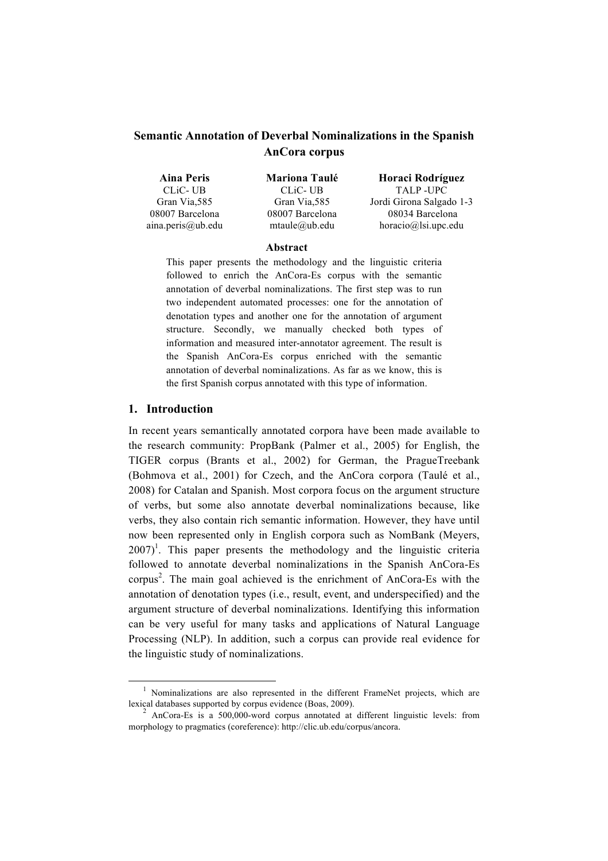# **Semantic Annotation of Deverbal Nominalizations in the Spanish AnCora corpus**

| Aina Peris        | <b>Mariona Taulé</b>   | Horaci Rodríguez         |
|-------------------|------------------------|--------------------------|
| CLIC-UB           | <b>CLIC-UB</b>         | TALP-UPC                 |
| Gran Via, 585     | Gran Via, 585          | Jordi Girona Salgado 1-3 |
| 08007 Barcelona   | 08007 Barcelona        | 08034 Barcelona          |
| aina.peris@ub.edu | $m$ taule $(a)$ ub.edu | $horacio@]$ si.upc.edu   |

### **Abstract**

This paper presents the methodology and the linguistic criteria followed to enrich the AnCora-Es corpus with the semantic annotation of deverbal nominalizations. The first step was to run two independent automated processes: one for the annotation of denotation types and another one for the annotation of argument structure. Secondly, we manually checked both types of information and measured inter-annotator agreement. The result is the Spanish AnCora-Es corpus enriched with the semantic annotation of deverbal nominalizations. As far as we know, this is the first Spanish corpus annotated with this type of information.

### **1. Introduction**

!!!!!!!!!!!!!!!!!!!!!!!!!!!!!!!!!!!!!!!!!!!!!!!!!!!!!!!!!!!!

In recent years semantically annotated corpora have been made available to the research community: PropBank (Palmer et al., 2005) for English, the TIGER corpus (Brants et al., 2002) for German, the PragueTreebank (Bohmova et al., 2001) for Czech, and the AnCora corpora (Taulé et al., 2008) for Catalan and Spanish. Most corpora focus on the argument structure of verbs, but some also annotate deverbal nominalizations because, like verbs, they also contain rich semantic information. However, they have until now been represented only in English corpora such as NomBank (Meyers,  $2007$ <sup>1</sup>. This paper presents the methodology and the linguistic criteria followed to annotate deverbal nominalizations in the Spanish AnCora-Es corpus 2 . The main goal achieved is the enrichment of AnCora-Es with the annotation of denotation types (i.e., result, event, and underspecified) and the argument structure of deverbal nominalizations. Identifying this information can be very useful for many tasks and applications of Natural Language Processing (NLP). In addition, such a corpus can provide real evidence for the linguistic study of nominalizations.

<sup>&</sup>lt;sup>1</sup> Nominalizations are also represented in the different FrameNet projects, which are lexical databases supported by corpus evidence (Boas, 2009). <sup>2</sup> AnCora-Es is a 500,000-word corpus annotated at different linguistic levels: from

morphology to pragmatics (coreference): http://clic.ub.edu/corpus/ancora.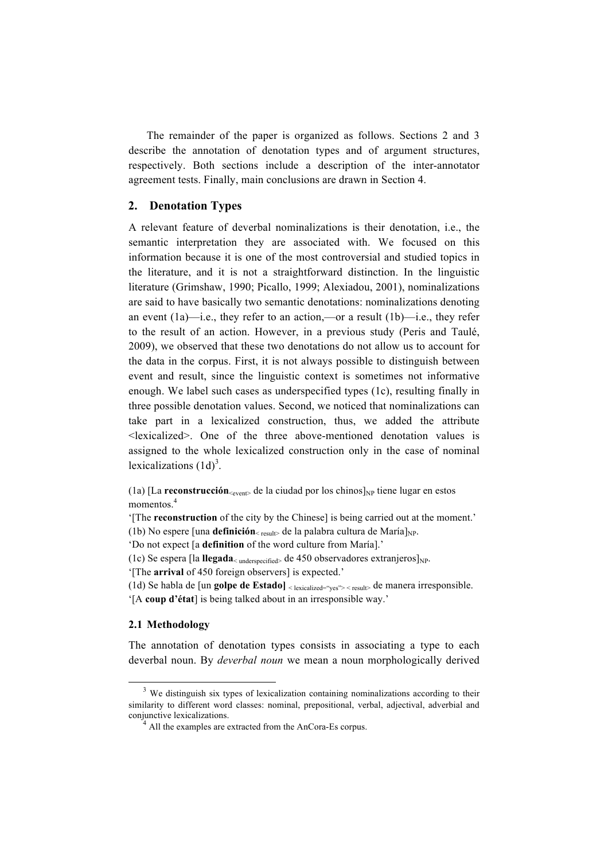The remainder of the paper is organized as follows. Sections 2 and 3 describe the annotation of denotation types and of argument structures, respectively. Both sections include a description of the inter-annotator agreement tests. Finally, main conclusions are drawn in Section 4.

## **2. Denotation Types**

A relevant feature of deverbal nominalizations is their denotation, i.e., the semantic interpretation they are associated with. We focused on this information because it is one of the most controversial and studied topics in the literature, and it is not a straightforward distinction. In the linguistic literature (Grimshaw, 1990; Picallo, 1999; Alexiadou, 2001), nominalizations are said to have basically two semantic denotations: nominalizations denoting an event  $(1a)$ —i.e., they refer to an action,—or a result  $(1b)$ —i.e., they refer to the result of an action. However, in a previous study (Peris and Taulé, 2009), we observed that these two denotations do not allow us to account for the data in the corpus. First, it is not always possible to distinguish between event and result, since the linguistic context is sometimes not informative enough. We label such cases as underspecified types (1c), resulting finally in three possible denotation values. Second, we noticed that nominalizations can take part in a lexicalized construction, thus, we added the attribute <lexicalized>. One of the three above-mentioned denotation values is assigned to the whole lexicalized construction only in the case of nominal lexicalizations  $(1d)^3$ .

(1a) [La **reconstrucción**  $\leq_{\text{event}}$  de la ciudad por los chinos]<sub>NP</sub> tiene lugar en estos momentos.<sup>4</sup>

'[The **reconstruction** of the city by the Chinese] is being carried out at the moment.' (1b) No espere [una **definición**  $\leq$  result> de la palabra cultura de María]<sub>NP</sub>.

'Do not expect [a **definition** of the word culture from María].'

(1c) Se espera [la **llegada**  $\lt$  underspecified de 450 observadores extranjeros]<sub>NP</sub>.

'[The **arrival** of 450 foreign observers] is expected.'

(1d) Se habla de [un **golpe de Estado]** < lexicalized="yes"> < result> de manera irresponsible. '[A **coup d'état**] is being talked about in an irresponsible way.'

### **2.1 Methodology**

The annotation of denotation types consists in associating a type to each deverbal noun. By *deverbal noun* we mean a noun morphologically derived

 $3$  We distinguish six types of lexicalization containing nominalizations according to their similarity to different word classes: nominal, prepositional, verbal, adjectival, adverbial and conjunctive lexicalizations. <sup>4</sup> All the examples are extracted from the AnCora-Es corpus.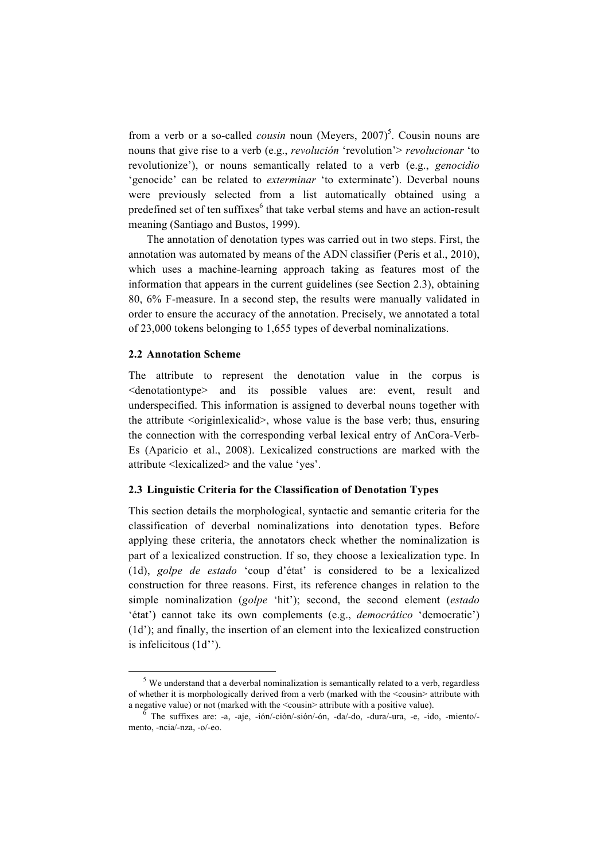from a verb or a so-called *cousin* noun (Meyers, 2007)<sup>5</sup>. Cousin nouns are nouns that give rise to a verb (e.g., *revolución* 'revolution'> *revolucionar* 'to revolutionize'), or nouns semantically related to a verb (e.g., *genocidio* 'genocide' can be related to *exterminar* 'to exterminate'). Deverbal nouns were previously selected from a list automatically obtained using a predefined set of ten suffixes<sup>6</sup> that take verbal stems and have an action-result meaning (Santiago and Bustos, 1999).

The annotation of denotation types was carried out in two steps. First, the annotation was automated by means of the ADN classifier (Peris et al., 2010), which uses a machine-learning approach taking as features most of the information that appears in the current guidelines (see Section 2.3), obtaining 80, 6% F-measure. In a second step, the results were manually validated in order to ensure the accuracy of the annotation. Precisely, we annotated a total of 23,000 tokens belonging to 1,655 types of deverbal nominalizations.

## **2.2 Annotation Scheme**

!!!!!!!!!!!!!!!!!!!!!!!!!!!!!!!!!!!!!!!!!!!!!!!!!!!!!!!!!!!!

The attribute to represent the denotation value in the corpus is <denotationtype> and its possible values are: event, result and underspecified. This information is assigned to deverbal nouns together with the attribute <originlexicalid>, whose value is the base verb; thus, ensuring the connection with the corresponding verbal lexical entry of AnCora-Verb-Es (Aparicio et al., 2008). Lexicalized constructions are marked with the attribute <lexicalized> and the value 'yes'.

### **2.3 Linguistic Criteria for the Classification of Denotation Types**

This section details the morphological, syntactic and semantic criteria for the classification of deverbal nominalizations into denotation types. Before applying these criteria, the annotators check whether the nominalization is part of a lexicalized construction. If so, they choose a lexicalization type. In (1d), *golpe de estado* 'coup d'état' is considered to be a lexicalized construction for three reasons. First, its reference changes in relation to the simple nominalization (*golpe* 'hit'); second, the second element (*estado* 'état') cannot take its own complements (e.g., *democrático* 'democratic') (1d'); and finally, the insertion of an element into the lexicalized construction is infelicitous (1d'').

 $5$  We understand that a deverbal nominalization is semantically related to a verb, regardless of whether it is morphologically derived from a verb (marked with the <cousin> attribute with

<sup>a</sup> negative value) or not (marked with the <cousin> attribute with <sup>a</sup> positive value). <sup>6</sup> The suffixes are: -a, -aje, -ión/-ción/-sión/-ón, -da/-do, -dura/-ura, -e, -ido, -miento/ mento, -ncia/-nza, -o/-eo.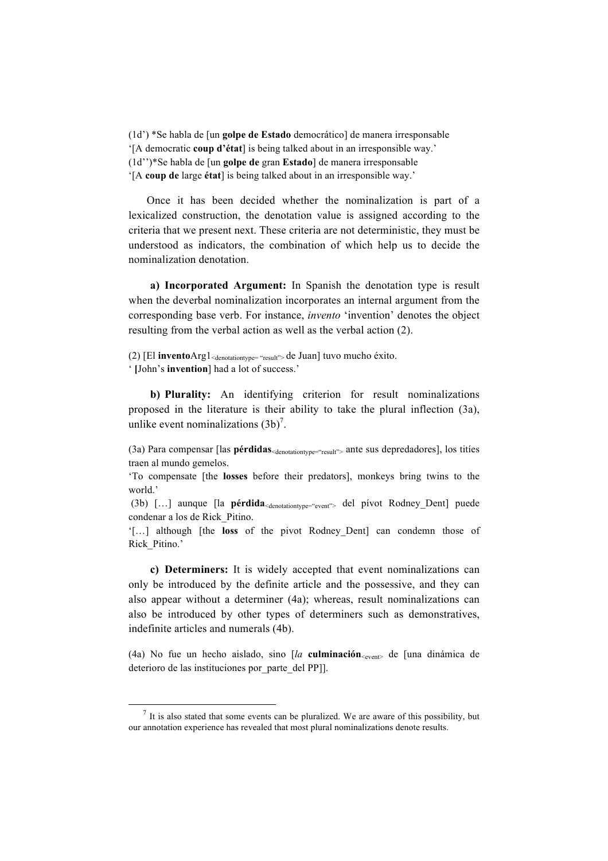(1d') \*Se habla de [un **golpe de Estado** democrático] de manera irresponsable '[A democratic **coup d'état**] is being talked about in an irresponsible way.' (1d'')\*Se habla de [un **golpe de** gran **Estado**] de manera irresponsable '[A **coup de** large **état**] is being talked about in an irresponsible way.'

Once it has been decided whether the nominalization is part of a lexicalized construction, the denotation value is assigned according to the criteria that we present next. These criteria are not deterministic, they must be understood as indicators, the combination of which help us to decide the nominalization denotation.

**a) Incorporated Argument:** In Spanish the denotation type is result when the deverbal nominalization incorporates an internal argument from the corresponding base verb. For instance, *invento* 'invention' denotes the object resulting from the verbal action as well as the verbal action (2).

(2) [El **invento**Arg1<sub><denotationtype= "result"> de Juan] tuvo mucho éxito.</sub> ' **[**John's **invention**] had a lot of success.'

**b) Plurality:** An identifying criterion for result nominalizations proposed in the literature is their ability to take the plural inflection (3a), unlike event nominalizations  $(3b)^7$ .

(3a) Para compensar [las **pérdidas**<denotationtype="result"> ante sus depredadores], los titíes traen al mundo gemelos.

'To compensate [the **losses** before their predators], monkeys bring twins to the world.'

 (3b) […] aunque [la **pérdida**<denotationtype="event"> del pívot Rodney\_Dent] puede condenar a los de Rick\_Pitino.

'[…] although [the **loss** of the pivot Rodney\_Dent] can condemn those of Rick\_Pitino.'

**c) Determiners:** It is widely accepted that event nominalizations can only be introduced by the definite article and the possessive, and they can also appear without a determiner (4a); whereas, result nominalizations can also be introduced by other types of determiners such as demonstratives, indefinite articles and numerals (4b).

(4a) No fue un hecho aislado, sino  $\frac{a}{a}$  **culminación**<sub><event></sub> de  $\frac{a}{b}$  dinámica de deterioro de las instituciones por\_parte\_del PP]].

!!!!!!!!!!!!!!!!!!!!!!!!!!!!!!!!!!!!!!!!!!!!!!!!!!!!!!!!!!!!

 $<sup>7</sup>$  It is also stated that some events can be pluralized. We are aware of this possibility, but</sup> our annotation experience has revealed that most plural nominalizations denote results.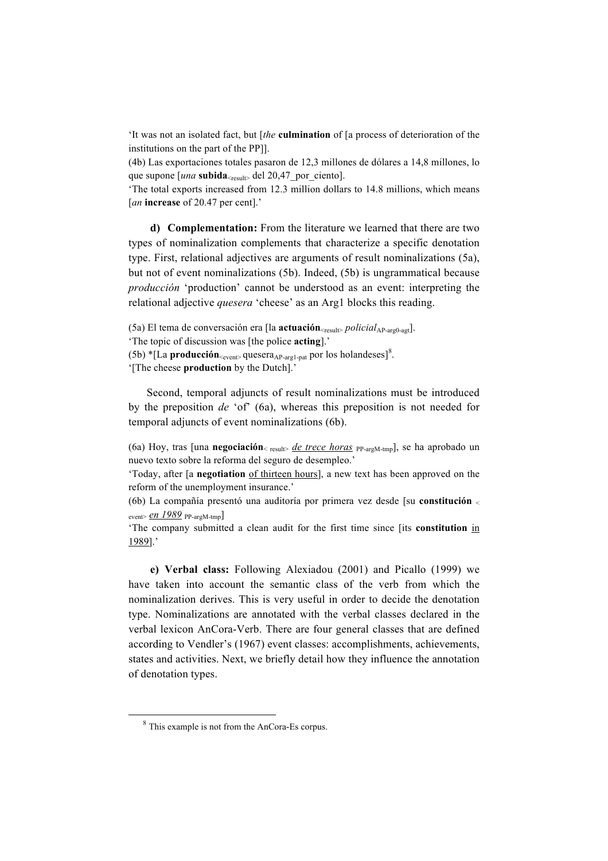'It was not an isolated fact, but [*the* **culmination** of [a process of deterioration of the institutions on the part of the PP]].

(4b) Las exportaciones totales pasaron de 12,3 millones de dólares a 14,8 millones, lo que supone  $\left[\mu na \text{ subida}\right]_{\text{c}$ <sub>result</sub> del 20,47 por ciento.

'The total exports increased from 12.3 million dollars to 14.8 millions, which means [*an* **increase** of 20.47 per cent].'

**d) Complementation:** From the literature we learned that there are two types of nominalization complements that characterize a specific denotation type. First, relational adjectives are arguments of result nominalizations (5a), but not of event nominalizations (5b). Indeed, (5b) is ungrammatical because *producción* 'production' cannot be understood as an event: interpreting the relational adjective *quesera* 'cheese' as an Arg1 blocks this reading.

(5a) El tema de conversación era [la **actuación**<sub><result></sub> *policial*<sub>AP-arg0-agt].</sub> 'The topic of discussion was [the police **acting**].'  $(5b)$ <sup>\*</sup>[La **producción**<sub><event></sub> quesera<sub>AP-arg1-pat</sub> por los holandeses]<sup>8</sup>. '[The cheese **production** by the Dutch].'

Second, temporal adjuncts of result nominalizations must be introduced by the preposition *de* 'of' (6a), whereas this preposition is not needed for temporal adjuncts of event nominalizations (6b).

(6a) Hoy, tras [una **negociación**<sub>< result> *de trece horas* PP-argM-tmp], se ha aprobado un</sub> nuevo texto sobre la reforma del seguro de desempleo.'

'Today, after [a **negotiation** of thirteen hours], a new text has been approved on the reform of the unemployment insurance.'

(6b) La compañía presentó una auditoría por primera vez desde [su **constitución** <sup>&</sup>lt;  $|$ event>  $en$  1989  $p$ P-argM-tmp

'The company submitted a clean audit for the first time since [its **constitution** in 1989].'

**e) Verbal class:** Following Alexiadou (2001) and Picallo (1999) we have taken into account the semantic class of the verb from which the nominalization derives. This is very useful in order to decide the denotation type. Nominalizations are annotated with the verbal classes declared in the verbal lexicon AnCora-Verb. There are four general classes that are defined according to Vendler's (1967) event classes: accomplishments, achievements, states and activities. Next, we briefly detail how they influence the annotation of denotation types.

!!!!!!!!!!!!!!!!!!!!!!!!!!!!!!!!!!!!!!!!!!!!!!!!!!!!!!!!!!!!

<sup>&</sup>lt;sup>8</sup> This example is not from the AnCora-Es corpus.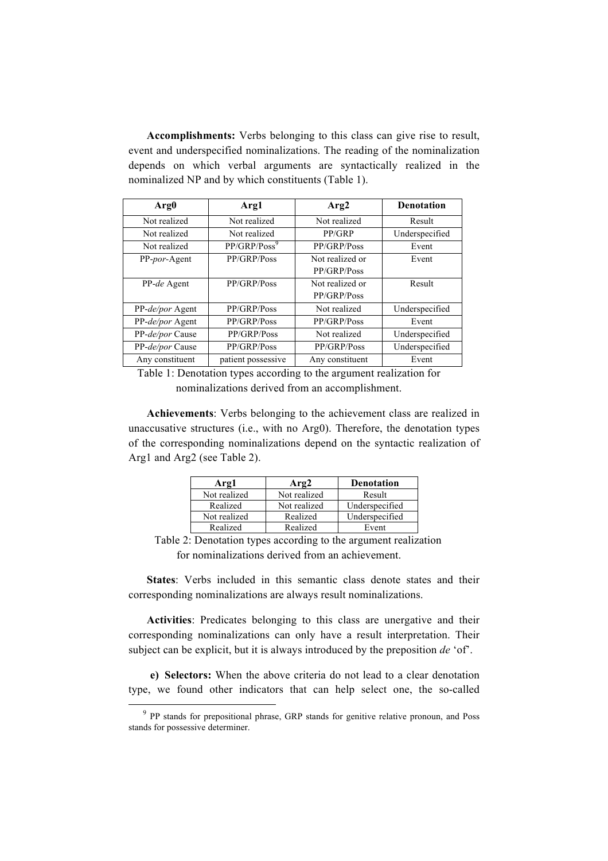**Accomplishments:** Verbs belonging to this class can give rise to result, event and underspecified nominalizations. The reading of the nominalization depends on which verbal arguments are syntactically realized in the nominalized NP and by which constituents (Table 1).

| Arg <sub>0</sub>      | Arg1                     | Arg <sub>2</sub> | <b>Denotation</b> |
|-----------------------|--------------------------|------------------|-------------------|
| Not realized          | Not realized             | Not realized     | Result            |
| Not realized          | Not realized             | PP/GRP           | Underspecified    |
| Not realized          | PP/GRP/Poss <sup>9</sup> | PP/GRP/Poss      | Event             |
| PP- <i>por</i> -Agent | PP/GRP/Poss              | Not realized or  | Event             |
|                       |                          | PP/GRP/Poss      |                   |
| PP-de Agent           | PP/GRP/Poss              | Not realized or  | Result            |
|                       |                          | PP/GRP/Poss      |                   |
| PP-de/por Agent       | PP/GRP/Poss              | Not realized     | Underspecified    |
| PP-de/por Agent       | PP/GRP/Poss              | PP/GRP/Poss      | Event             |
| PP-de/por Cause       | PP/GRP/Poss              | Not realized     | Underspecified    |
| PP-de/por Cause       | PP/GRP/Poss              | PP/GRP/Poss      | Underspecified    |
| Any constituent       | patient possessive       | Any constituent  | Event             |

Table 1: Denotation types according to the argument realization for nominalizations derived from an accomplishment.

**Achievements**: Verbs belonging to the achievement class are realized in unaccusative structures (i.e., with no Arg0). Therefore, the denotation types of the corresponding nominalizations depend on the syntactic realization of Arg1 and Arg2 (see Table 2).

| Arg1         | Arg2         | <b>Denotation</b> |  |
|--------------|--------------|-------------------|--|
| Not realized | Not realized | Result            |  |
| Realized     | Not realized | Underspecified    |  |
| Not realized | Realized     | Underspecified    |  |
| Realized     | Realized     | Event             |  |

Table 2: Denotation types according to the argument realization for nominalizations derived from an achievement.

**States**: Verbs included in this semantic class denote states and their corresponding nominalizations are always result nominalizations.

**Activities**: Predicates belonging to this class are unergative and their corresponding nominalizations can only have a result interpretation. Their subject can be explicit, but it is always introduced by the preposition *de* 'of'.

**e) Selectors:** When the above criteria do not lead to a clear denotation type, we found other indicators that can help select one, the so-called

!!!!!!!!!!!!!!!!!!!!!!!!!!!!!!!!!!!!!!!!!!!!!!!!!!!!!!!!!!!!

<sup>&</sup>lt;sup>9</sup> PP stands for prepositional phrase, GRP stands for genitive relative pronoun, and Poss stands for possessive determiner.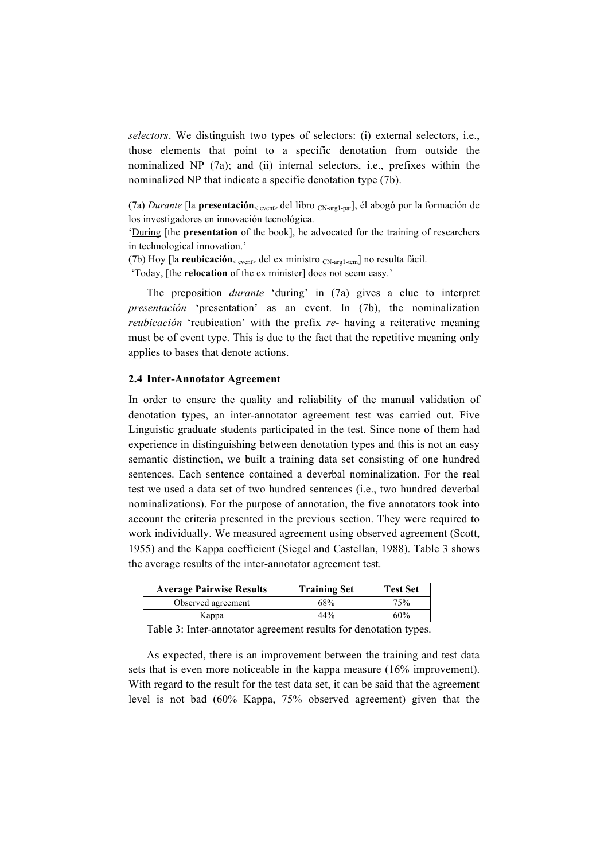*selectors*. We distinguish two types of selectors: (i) external selectors, i.e., those elements that point to a specific denotation from outside the nominalized NP (7a); and (ii) internal selectors, i.e., prefixes within the nominalized NP that indicate a specific denotation type (7b).

(7a) *Durante* [la **presentación**< event> del libro CN-arg1-pat], él abogó por la formación de los investigadores en innovación tecnológica.

'During [the **presentation** of the book], he advocated for the training of researchers in technological innovation.'

(7b) Hoy [la **reubicación**< event> del ex ministro CN-arg1-tem] no resulta fácil.

'Today, [the **relocation** of the ex minister] does not seem easy.'

The preposition *durante* 'during' in (7a) gives a clue to interpret *presentación* 'presentation' as an event. In (7b), the nominalization *reubicación* 'reubication' with the prefix *re-* having a reiterative meaning must be of event type. This is due to the fact that the repetitive meaning only applies to bases that denote actions.

#### **2.4 Inter-Annotator Agreement**

In order to ensure the quality and reliability of the manual validation of denotation types, an inter-annotator agreement test was carried out. Five Linguistic graduate students participated in the test. Since none of them had experience in distinguishing between denotation types and this is not an easy semantic distinction, we built a training data set consisting of one hundred sentences. Each sentence contained a deverbal nominalization. For the real test we used a data set of two hundred sentences (i.e., two hundred deverbal nominalizations). For the purpose of annotation, the five annotators took into account the criteria presented in the previous section. They were required to work individually. We measured agreement using observed agreement (Scott, 1955) and the Kappa coefficient (Siegel and Castellan, 1988). Table 3 shows the average results of the inter-annotator agreement test.

| <b>Average Pairwise Results</b> | <b>Training Set</b> | <b>Test Set</b> |
|---------------------------------|---------------------|-----------------|
| Observed agreement              | 68%                 | 75%             |
| Kappa                           | 44%                 | 60%             |

Table 3: Inter-annotator agreement results for denotation types.

As expected, there is an improvement between the training and test data sets that is even more noticeable in the kappa measure (16% improvement). With regard to the result for the test data set, it can be said that the agreement level is not bad (60% Kappa, 75% observed agreement) given that the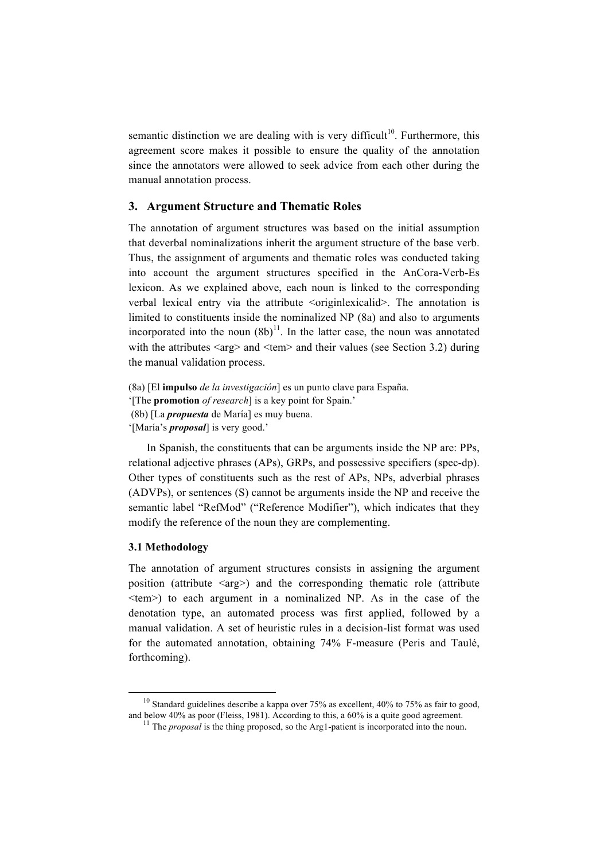semantic distinction we are dealing with is very difficult<sup>10</sup>. Furthermore, this agreement score makes it possible to ensure the quality of the annotation since the annotators were allowed to seek advice from each other during the manual annotation process.

## **3. Argument Structure and Thematic Roles**

The annotation of argument structures was based on the initial assumption that deverbal nominalizations inherit the argument structure of the base verb. Thus, the assignment of arguments and thematic roles was conducted taking into account the argument structures specified in the AnCora-Verb-Es lexicon. As we explained above, each noun is linked to the corresponding verbal lexical entry via the attribute <originlexicalid>. The annotation is limited to constituents inside the nominalized NP (8a) and also to arguments incorporated into the noun  $(8b)^{11}$ . In the latter case, the noun was annotated with the attributes  $\langle \text{arg} \rangle$  and  $\langle \text{tem} \rangle$  and their values (see Section 3.2) during the manual validation process.

(8a) [El **impulso** *de la investigación*] es un punto clave para España. '[The **promotion** *of research*] is a key point for Spain.' (8b) [La *propuesta* de María] es muy buena. '[María's *proposal*] is very good.'

In Spanish, the constituents that can be arguments inside the NP are: PPs, relational adjective phrases (APs), GRPs, and possessive specifiers (spec-dp). Other types of constituents such as the rest of APs, NPs, adverbial phrases (ADVPs), or sentences (S) cannot be arguments inside the NP and receive the semantic label "RefMod" ("Reference Modifier"), which indicates that they modify the reference of the noun they are complementing.

### **3.1 Methodology**

!!!!!!!!!!!!!!!!!!!!!!!!!!!!!!!!!!!!!!!!!!!!!!!!!!!!!!!!!!!!

The annotation of argument structures consists in assigning the argument position (attribute  $\langle \text{arg} \rangle$ ) and the corresponding thematic role (attribute <tem>) to each argument in a nominalized NP. As in the case of the denotation type, an automated process was first applied, followed by a manual validation. A set of heuristic rules in a decision-list format was used for the automated annotation, obtaining 74% F-measure (Peris and Taulé, forthcoming).

<sup>&</sup>lt;sup>10</sup> Standard guidelines describe a kappa over 75% as excellent, 40% to 75% as fair to good, and below 40% as poor (Fleiss, 1981). According to this, a 60% is a quite good agreement.

<sup>&</sup>lt;sup>11</sup> The *proposal* is the thing proposed, so the Arg1-patient is incorporated into the noun.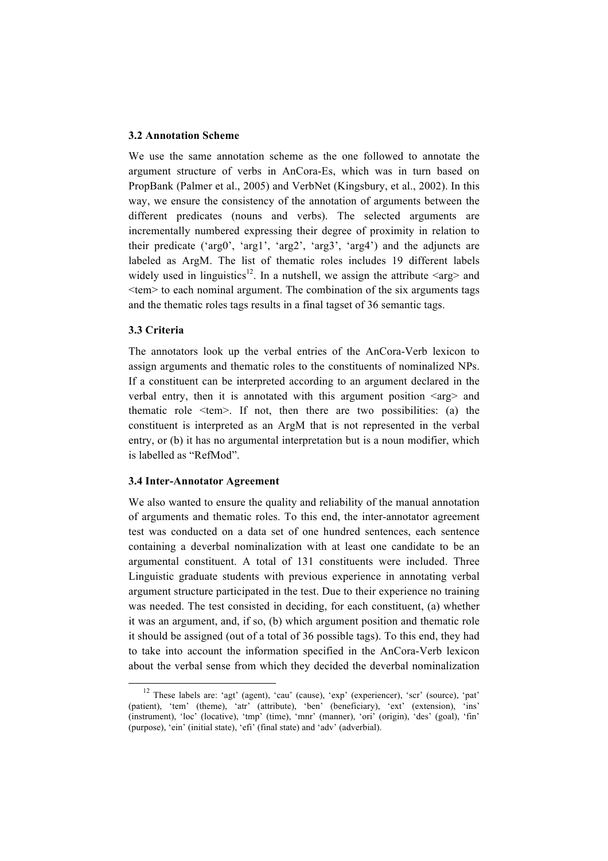## **3.2 Annotation Scheme**

We use the same annotation scheme as the one followed to annotate the argument structure of verbs in AnCora-Es, which was in turn based on PropBank (Palmer et al., 2005) and VerbNet (Kingsbury, et al., 2002). In this way, we ensure the consistency of the annotation of arguments between the different predicates (nouns and verbs). The selected arguments are incrementally numbered expressing their degree of proximity in relation to their predicate ('arg0', 'arg1', 'arg2', 'arg3', 'arg4') and the adjuncts are labeled as ArgM. The list of thematic roles includes 19 different labels widely used in linguistics<sup>12</sup>. In a nutshell, we assign the attribute  $\langle \text{arg} \rangle$  and  $\leq$ tem $>$  to each nominal argument. The combination of the six arguments tags and the thematic roles tags results in a final tagset of 36 semantic tags.

## **3.3 Criteria**

The annotators look up the verbal entries of the AnCora-Verb lexicon to assign arguments and thematic roles to the constituents of nominalized NPs. If a constituent can be interpreted according to an argument declared in the verbal entry, then it is annotated with this argument position  $\langle arg \rangle$  and thematic role  $\leq t$ em $>$ . If not, then there are two possibilities: (a) the constituent is interpreted as an ArgM that is not represented in the verbal entry, or (b) it has no argumental interpretation but is a noun modifier, which is labelled as "RefMod".

### **3.4 Inter-Annotator Agreement**

!!!!!!!!!!!!!!!!!!!!!!!!!!!!!!!!!!!!!!!!!!!!!!!!!!!!!!!!!!!!

We also wanted to ensure the quality and reliability of the manual annotation of arguments and thematic roles. To this end, the inter-annotator agreement test was conducted on a data set of one hundred sentences, each sentence containing a deverbal nominalization with at least one candidate to be an argumental constituent. A total of 131 constituents were included. Three Linguistic graduate students with previous experience in annotating verbal argument structure participated in the test. Due to their experience no training was needed. The test consisted in deciding, for each constituent, (a) whether it was an argument, and, if so, (b) which argument position and thematic role it should be assigned (out of a total of 36 possible tags). To this end, they had to take into account the information specified in the AnCora-Verb lexicon about the verbal sense from which they decided the deverbal nominalization

<sup>12</sup> These labels are: 'agt' (agent), 'cau' (cause), 'exp' (experiencer), 'scr' (source), 'pat' (patient), 'tem' (theme), 'atr' (attribute), 'ben' (beneficiary), 'ext' (extension), 'ins' (instrument), 'loc' (locative), 'tmp' (time), 'mnr' (manner), 'ori' (origin), 'des' (goal), 'fin' (purpose), 'ein' (initial state), 'efi' (final state) and 'adv' (adverbial).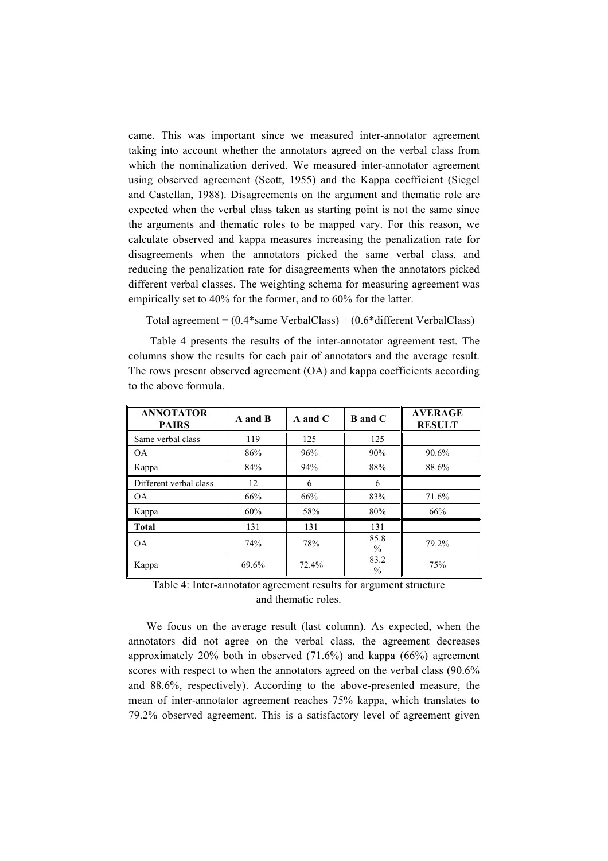came. This was important since we measured inter-annotator agreement taking into account whether the annotators agreed on the verbal class from which the nominalization derived. We measured inter-annotator agreement using observed agreement (Scott, 1955) and the Kappa coefficient (Siegel and Castellan, 1988). Disagreements on the argument and thematic role are expected when the verbal class taken as starting point is not the same since the arguments and thematic roles to be mapped vary. For this reason, we calculate observed and kappa measures increasing the penalization rate for disagreements when the annotators picked the same verbal class, and reducing the penalization rate for disagreements when the annotators picked different verbal classes. The weighting schema for measuring agreement was empirically set to 40% for the former, and to 60% for the latter.

Total agreement =  $(0.4*$ same VerbalClass $) + (0.6*$ different VerbalClass $)$ 

Table 4 presents the results of the inter-annotator agreement test. The columns show the results for each pair of annotators and the average result. The rows present observed agreement (OA) and kappa coefficients according to the above formula.

| <b>ANNOTATOR</b><br><b>PAIRS</b> | A and B | $A$ and $C$ | <b>B</b> and C        | <b>AVERAGE</b><br><b>RESULT</b> |
|----------------------------------|---------|-------------|-----------------------|---------------------------------|
| Same verbal class                | 119     | 125         | 125                   |                                 |
| <b>OA</b>                        | 86%     | 96%         | 90%                   | 90.6%                           |
| Kappa                            | 84%     | 94%         | 88%                   | 88.6%                           |
| Different verbal class           | 12      | 6           | 6                     |                                 |
| <b>OA</b>                        | 66%     | 66%         | 83%                   | 71.6%                           |
| Kappa                            | 60%     | 58%         | 80%                   | 66%                             |
| Total                            | 131     | 131         | 131                   |                                 |
| <b>OA</b>                        | 74%     | 78%         | 85.8<br>$\%$          | 79.2%                           |
| Kappa                            | 69.6%   | 72.4%       | 83.2<br>$\frac{0}{0}$ | 75%                             |

Table 4: Inter-annotator agreement results for argument structure and thematic roles.

We focus on the average result (last column). As expected, when the annotators did not agree on the verbal class, the agreement decreases approximately 20% both in observed (71.6%) and kappa (66%) agreement scores with respect to when the annotators agreed on the verbal class (90.6%) and 88.6%, respectively). According to the above-presented measure, the mean of inter-annotator agreement reaches 75% kappa, which translates to 79.2% observed agreement. This is a satisfactory level of agreement given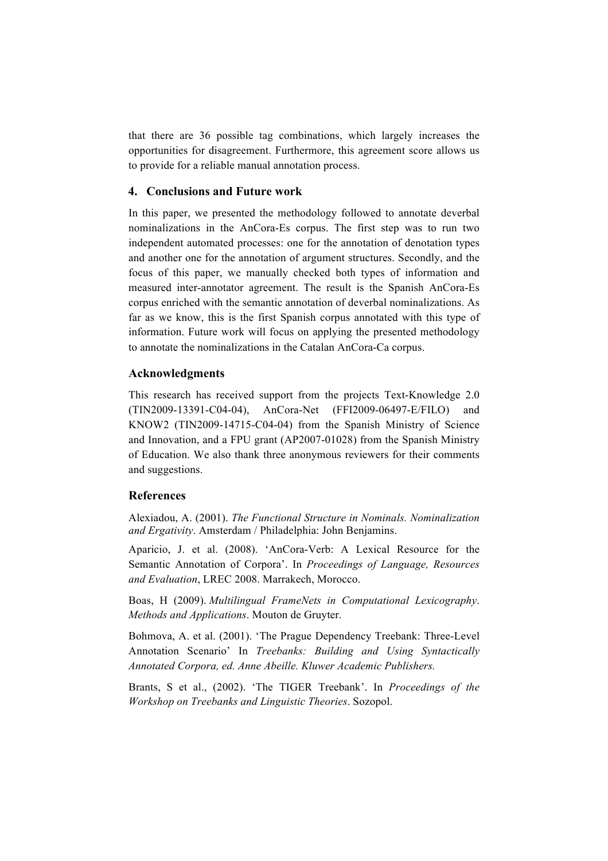that there are 36 possible tag combinations, which largely increases the opportunities for disagreement. Furthermore, this agreement score allows us to provide for a reliable manual annotation process.

## **4. Conclusions and Future work**

In this paper, we presented the methodology followed to annotate deverbal nominalizations in the AnCora-Es corpus. The first step was to run two independent automated processes: one for the annotation of denotation types and another one for the annotation of argument structures. Secondly, and the focus of this paper, we manually checked both types of information and measured inter-annotator agreement. The result is the Spanish AnCora-Es corpus enriched with the semantic annotation of deverbal nominalizations. As far as we know, this is the first Spanish corpus annotated with this type of information. Future work will focus on applying the presented methodology to annotate the nominalizations in the Catalan AnCora-Ca corpus.

## **Acknowledgments**

This research has received support from the projects Text-Knowledge 2.0 (TIN2009-13391-C04-04), AnCora-Net (FFI2009-06497-E/FILO) and KNOW2 (TIN2009-14715-C04-04) from the Spanish Ministry of Science and Innovation, and a FPU grant (AP2007-01028) from the Spanish Ministry of Education. We also thank three anonymous reviewers for their comments and suggestions.

## **References**

Alexiadou, A. (2001). *The Functional Structure in Nominals. Nominalization and Ergativity*. Amsterdam / Philadelphia: John Benjamins.

Aparicio, J. et al. (2008). 'AnCora-Verb: A Lexical Resource for the Semantic Annotation of Corpora'. In *Proceedings of Language, Resources and Evaluation*, LREC 2008. Marrakech, Morocco.

Boas, H (2009). *Multilingual FrameNets in Computational Lexicography*. *Methods and Applications*. Mouton de Gruyter.

Bohmova, A. et al. (2001). 'The Prague Dependency Treebank: Three-Level Annotation Scenario' In *Treebanks: Building and Using Syntactically Annotated Corpora, ed. Anne Abeille. Kluwer Academic Publishers.*

Brants, S et al., (2002). 'The TIGER Treebank'. In *Proceedings of the Workshop on Treebanks and Linguistic Theories*. Sozopol.